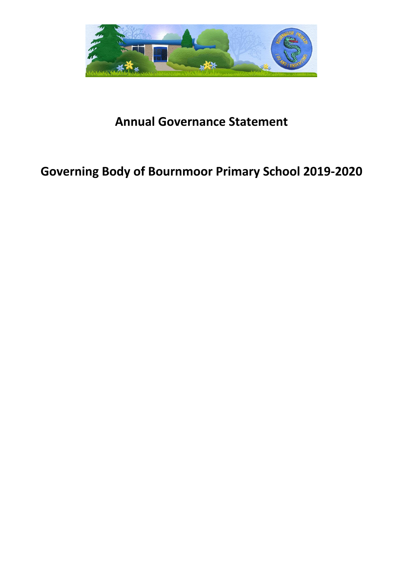

## **Annual Governance Statement**

# **Governing Body of Bournmoor Primary School 2019-2020**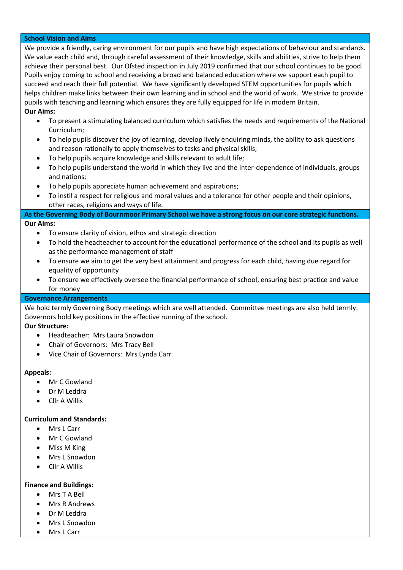#### **School Vision and Aims**

We provide a friendly, caring environment for our pupils and have high expectations of behaviour and standards. We value each child and, through careful assessment of their knowledge, skills and abilities, strive to help them achieve their personal best. Our Ofsted inspection in July 2019 confirmed that our school continues to be good. Pupils enjoy coming to school and receiving a broad and balanced education where we support each pupil to succeed and reach their full potential. We have significantly developed STEM opportunities for pupils which helps children make links between their own learning and in school and the world of work. We strive to provide pupils with teaching and learning which ensures they are fully equipped for life in modern Britain. **Our Aims:**

- To present a stimulating balanced curriculum which satisfies the needs and requirements of the National Curriculum;
- To help pupils discover the joy of learning, develop lively enquiring minds, the ability to ask questions and reason rationally to apply themselves to tasks and physical skills;
- To help pupils acquire knowledge and skills relevant to adult life;
- To help pupils understand the world in which they live and the inter-dependence of individuals, groups and nations;
- To help pupils appreciate human achievement and aspirations;
- To instil a respect for religious and moral values and a tolerance for other people and their opinions, other races, religions and ways of life.

## **As the Governing Body of Bournmoor Primary School we have a strong focus on our core strategic functions. Our Aims:**

- To ensure clarity of vision, ethos and strategic direction
- To hold the headteacher to account for the educational performance of the school and its pupils as well as the performance management of staff
- To ensure we aim to get the very best attainment and progress for each child, having due regard for equality of opportunity
- To ensure we effectively oversee the financial performance of school, ensuring best practice and value for money

#### **Governance Arrangements**

We hold termly Governing Body meetings which are well attended. Committee meetings are also held termly. Governors hold key positions in the effective running of the school.

## **Our Structure:**

- Headteacher: Mrs Laura Snowdon
- Chair of Governors: Mrs Tracy Bell
- Vice Chair of Governors: Mrs Lynda Carr

#### **Appeals:**

- Mr C Gowland
- Dr M Leddra
- Cllr A Willis

## **Curriculum and Standards:**

- Mrs L Carr
- Mr C Gowland
- Miss M King
- Mrs L Snowdon
- Cllr A Willis

#### **Finance and Buildings:**

- Mrs T A Bell
- Mrs R Andrews
- Dr M Leddra
- Mrs L Snowdon
- Mrs L Carr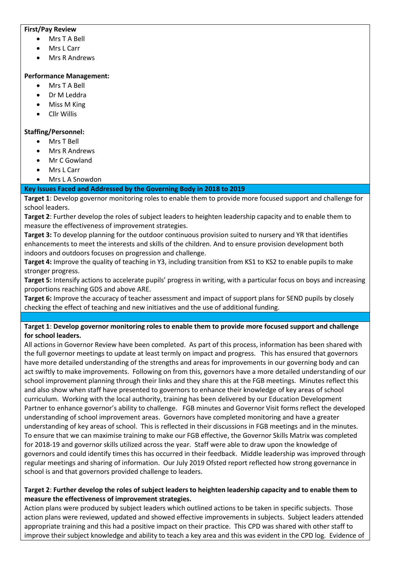#### **First/Pay Review**

- Mrs T A Bell
- Mrs L Carr
- Mrs R Andrews

#### **Performance Management:**

- Mrs T A Bell
- Dr M Leddra
- Miss M King
- Cllr Willis

## **Staffing/Personnel:**

- Mrs T Bell
- Mrs R Andrews
- Mr C Gowland
- Mrs L Carr
- Mrs L A Snowdon

#### **Key Issues Faced and Addressed by the Governing Body in 2018 to 2019**

**Target 1**: Develop governor monitoring roles to enable them to provide more focused support and challenge for school leaders.

**Target 2**: Further develop the roles of subject leaders to heighten leadership capacity and to enable them to measure the effectiveness of improvement strategies.

**Target 3:** To develop planning for the outdoor continuous provision suited to nursery and YR that identifies enhancements to meet the interests and skills of the children. And to ensure provision development both indoors and outdoors focuses on progression and challenge.

**Target 4:** Improve the quality of teaching in Y3, including transition from KS1 to KS2 to enable pupils to make stronger progress.

**Target 5:** Intensify actions to accelerate pupils' progress in writing, with a particular focus on boys and increasing proportions reaching GDS and above ARE.

Target 6: Improve the accuracy of teacher assessment and impact of support plans for SEND pupils by closely checking the effect of teaching and new initiatives and the use of additional funding.

## **Target 1**: **Develop governor monitoring roles to enable them to provide more focused support and challenge for school leaders.**

All actions in Governor Review have been completed. As part of this process, information has been shared with the full governor meetings to update at least termly on impact and progress. This has ensured that governors have more detailed understanding of the strengths and areas for improvements in our governing body and can act swiftly to make improvements. Following on from this, governors have a more detailed understanding of our school improvement planning through their links and they share this at the FGB meetings. Minutes reflect this and also show when staff have presented to governors to enhance their knowledge of key areas of school curriculum. Working with the local authority, training has been delivered by our Education Development Partner to enhance governor's ability to challenge. FGB minutes and Governor Visit forms reflect the developed understanding of school improvement areas. Governors have completed monitoring and have a greater understanding of key areas of school. This is reflected in their discussions in FGB meetings and in the minutes. To ensure that we can maximise training to make our FGB effective, the Governor Skills Matrix was completed for 2018-19 and governor skills utilized across the year. Staff were able to draw upon the knowledge of governors and could identify times this has occurred in their feedback. Middle leadership was improved through regular meetings and sharing of information. Our July 2019 Ofsted report reflected how strong governance in school is and that governors provided challenge to leaders.

## **Target 2**: **Further develop the roles of subject leaders to heighten leadership capacity and to enable them to measure the effectiveness of improvement strategies.**

Action plans were produced by subject leaders which outlined actions to be taken in specific subjects. Those action plans were reviewed, updated and showed effective improvements in subjects. Subject leaders attended appropriate training and this had a positive impact on their practice.This CPD was shared with other staff to improve their subject knowledge and ability to teach a key area and this was evident in the CPD log. Evidence of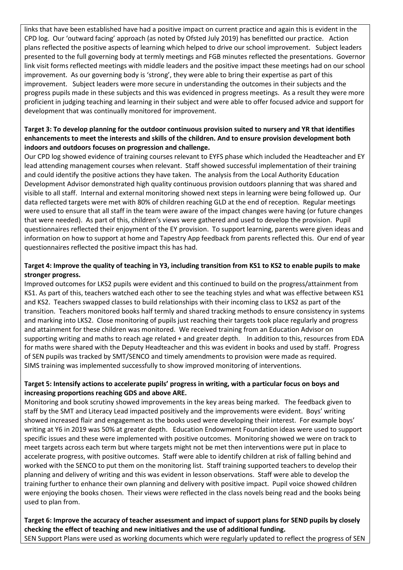links that have been established have had a positive impact on current practice and again this is evident in the CPD log. Our 'outward facing' approach (as noted by Ofsted July 2019) has benefitted our practice.Action plans reflected the positive aspects of learning which helped to drive our school improvement. Subject leaders presented to the full governing body at termly meetings and FGB minutes reflected the presentations. Governor link visit forms reflected meetings with middle leaders and the positive impact these meetings had on our school improvement. As our governing body is 'strong', they were able to bring their expertise as part of this improvement. Subject leaders were more secure in understanding the outcomes in their subjects and the progress pupils made in these subjects and this was evidenced in progress meetings.As a result they were more proficient in judging teaching and learning in their subject and were able to offer focused advice and support for development that was continually monitored for improvement.

## **Target 3: To develop planning for the outdoor continuous provision suited to nursery and YR that identifies enhancements to meet the interests and skills of the children. And to ensure provision development both indoors and outdoors focuses on progression and challenge.**

Our CPD log showed evidence of training courses relevant to EYFS phase which included the Headteacher and EY lead attending management courses when relevant. Staff showed successful implementation of their training and could identify the positive actions they have taken. The analysis from the Local Authority Education Development Advisor demonstrated high quality continuous provision outdoors planning that was shared and visible to all staff. Internal and external monitoring showed next steps in learning were being followed up. Our data reflected targets were met with 80% of children reaching GLD at the end of reception. Regular meetings were used to ensure that all staff in the team were aware of the impact changes were having (or future changes that were needed). As part of this, children's views were gathered and used to develop the provision. Pupil questionnaires reflected their enjoyment of the EY provision. To support learning, parents were given ideas and information on how to support at home and Tapestry App feedback from parents reflected this. Our end of year questionnaires reflected the positive impact this has had.

## **Target 4: Improve the quality of teaching in Y3, including transition from KS1 to KS2 to enable pupils to make stronger progress.**

Improved outcomes for LKS2 pupils were evident and this continued to build on the progress/attainment from KS1. As part of this, teachers watched each other to see the teaching styles and what was effective between KS1 and KS2. Teachers swapped classes to build relationships with their incoming class to LKS2 as part of the transition. Teachers monitored books half termly and shared tracking methods to ensure consistency in systems and marking into LKS2. Close monitoring of pupils just reaching their targets took place regularly and progress and attainment for these children was monitored. We received training from an Education Advisor on supporting writing and maths to reach age related + and greater depth. In addition to this, resources from EDA for maths were shared with the Deputy Headteacher and this was evident in books and used by staff. Progress of SEN pupils was tracked by SMT/SENCO and timely amendments to provision were made as required. SIMS training was implemented successfully to show improved monitoring of interventions.

## **Target 5: Intensify actions to accelerate pupils' progress in writing, with a particular focus on boys and increasing proportions reaching GDS and above ARE.**

Monitoring and book scrutiny showed improvements in the key areas being marked. The feedback given to staff by the SMT and Literacy Lead impacted positively and the improvements were evident. Boys' writing showed increased flair and engagement as the books used were developing their interest. For example boys' writing at Y6 in 2019 was 50% at greater depth. Education Endowment Foundation ideas were used to support specific issues and these were implemented with positive outcomes. Monitoring showed we were on track to meet targets across each term but where targets might not be met then interventions were put in place to accelerate progress, with positive outcomes. Staff were able to identify children at risk of falling behind and worked with the SENCO to put them on the monitoring list. Staff training supported teachers to develop their planning and delivery of writing and this was evident in lesson observations. Staff were able to develop the training further to enhance their own planning and delivery with positive impact. Pupil voice showed children were enjoying the books chosen. Their views were reflected in the class novels being read and the books being used to plan from.

**Target 6: Improve the accuracy of teacher assessment and impact of support plans for SEND pupils by closely checking the effect of teaching and new initiatives and the use of additional funding.**

SEN Support Plans were used as working documents which were regularly updated to reflect the progress of SEN